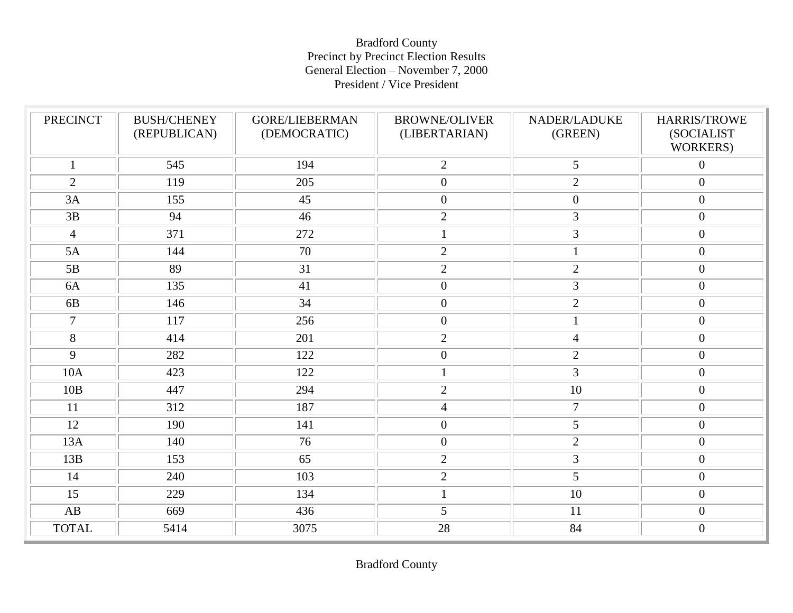### Bradford County Precinct by Precinct Election Results General Election – November 7, 2000 President / Vice President

| <b>PRECINCT</b> | <b>BUSH/CHENEY</b><br>(REPUBLICAN) | <b>GORE/LIEBERMAN</b><br>(DEMOCRATIC) | <b>BROWNE/OLIVER</b><br>(LIBERTARIAN) | NADER/LADUKE<br>(GREEN) | HARRIS/TROWE<br>(SOCIALIST<br>WORKERS) |
|-----------------|------------------------------------|---------------------------------------|---------------------------------------|-------------------------|----------------------------------------|
| $\mathbf{1}$    | 545                                | 194                                   | $\overline{2}$                        | 5                       | $\boldsymbol{0}$                       |
| 2               | 119                                | 205                                   | $\overline{0}$                        | 2                       | $\boldsymbol{0}$                       |
| 3A              | 155                                | 45                                    | $\boldsymbol{0}$                      | $\mathbf{0}$            | $\boldsymbol{0}$                       |
| 3B              | 94                                 | 46                                    | $\overline{2}$                        | 3                       | $\boldsymbol{0}$                       |
| $\overline{4}$  | 371                                | 272                                   | $\mathbf{1}$                          | $\mathfrak{Z}$          | $\boldsymbol{0}$                       |
| 5A              | 144                                | 70                                    | $\overline{2}$                        | 1                       | $\boldsymbol{0}$                       |
| 5B              | 89                                 | 31                                    | $\overline{2}$                        | $\overline{2}$          | $\boldsymbol{0}$                       |
| 6A              | 135                                | 41                                    | $\boldsymbol{0}$                      | $\overline{3}$          | $\boldsymbol{0}$                       |
| 6B              | 146                                | 34                                    | $\boldsymbol{0}$                      | 2                       | $\boldsymbol{0}$                       |
| $\overline{7}$  | 117                                | 256                                   | $\boldsymbol{0}$                      | $\mathbf{1}$            | $\boldsymbol{0}$                       |
| 8               | 414                                | 201                                   | $\overline{2}$                        | $\overline{4}$          | $\boldsymbol{0}$                       |
| 9               | 282                                | 122                                   | $\boldsymbol{0}$                      | $\overline{2}$          | $\boldsymbol{0}$                       |
| <b>10A</b>      | 423                                | 122                                   | $1\,$                                 | $\overline{3}$          | $\boldsymbol{0}$                       |
| 10B             | 447                                | 294                                   | $\overline{2}$                        | 10                      | $\boldsymbol{0}$                       |
| 11              | 312                                | 187                                   | $\overline{4}$                        | $\overline{7}$          | $\boldsymbol{0}$                       |
| 12              | 190                                | 141                                   | $\boldsymbol{0}$                      | 5                       | $\boldsymbol{0}$                       |
| 13A             | 140                                | 76                                    | $\boldsymbol{0}$                      | $\overline{2}$          | $\boldsymbol{0}$                       |
| 13B             | 153                                | 65                                    | $\overline{2}$                        | 3                       | $\boldsymbol{0}$                       |
| 14              | 240                                | 103                                   | $\overline{2}$                        | 5                       | $\boldsymbol{0}$                       |
| 15              | 229                                | 134                                   | $\mathbf{1}$                          | 10                      | $\boldsymbol{0}$                       |
| AB              | 669                                | 436                                   | 5                                     | 11                      | $\boldsymbol{0}$                       |
| <b>TOTAL</b>    | 5414                               | 3075                                  | 28                                    | 84                      | $\boldsymbol{0}$                       |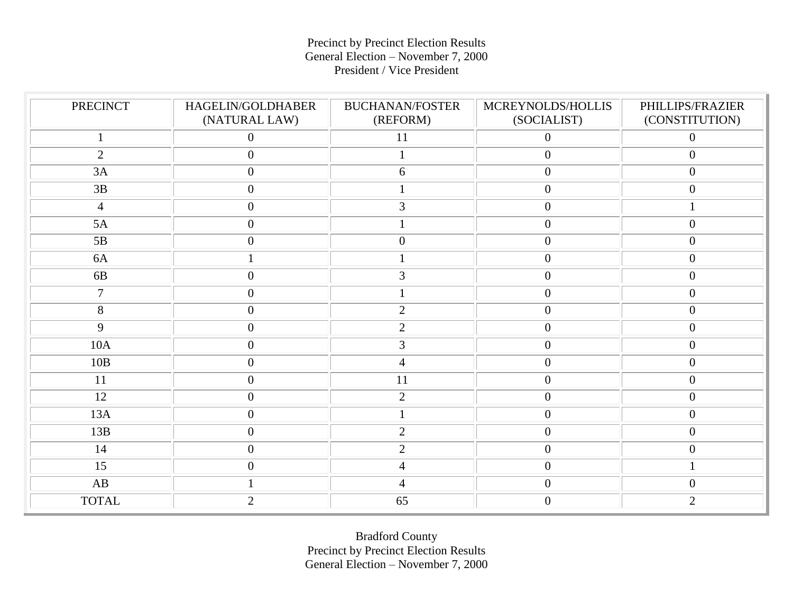### Precinct by Precinct Election Results General Election – November 7, 2000 President / Vice President

| <b>PRECINCT</b> | HAGELIN/GOLDHABER<br>(NATURAL LAW) | <b>BUCHANAN/FOSTER</b><br>(REFORM) | MCREYNOLDS/HOLLIS<br>(SOCIALIST) | PHILLIPS/FRAZIER<br>(CONSTITUTION) |
|-----------------|------------------------------------|------------------------------------|----------------------------------|------------------------------------|
|                 | $\boldsymbol{0}$                   | $11\,$                             | $\boldsymbol{0}$                 | $\boldsymbol{0}$                   |
| $\overline{2}$  | $\boldsymbol{0}$                   | $\mathbf{1}$                       | $\mathbf{0}$                     | $\overline{0}$                     |
| 3A              | $\boldsymbol{0}$                   | 6                                  | $\mathbf{0}$                     | $\overline{0}$                     |
| 3B              | $\boldsymbol{0}$                   |                                    | $\mathbf{0}$                     | $\boldsymbol{0}$                   |
| $\overline{4}$  | $\boldsymbol{0}$                   | 3                                  | $\mathbf{0}$                     | $\mathbf{1}$                       |
| 5A              | $\boldsymbol{0}$                   | $\mathbf{1}$                       | $\mathbf{0}$                     | $\boldsymbol{0}$                   |
| 5B              | $\boldsymbol{0}$                   | $\boldsymbol{0}$                   | $\mathbf{0}$                     | $\mathbf{0}$                       |
| 6A              | $\mathbf{1}$                       |                                    | $\overline{0}$                   | $\mathbf{0}$                       |
| 6B              | $\boldsymbol{0}$                   | 3                                  | $\overline{0}$                   | $\boldsymbol{0}$                   |
| $\overline{7}$  | $\boldsymbol{0}$                   |                                    | $\overline{0}$                   | $\boldsymbol{0}$                   |
| $8\,$           | $\boldsymbol{0}$                   | $\mathbf{2}$                       | $\overline{0}$                   | $\boldsymbol{0}$                   |
| 9               | $\boldsymbol{0}$                   | $\sqrt{2}$                         | $\boldsymbol{0}$                 | $\boldsymbol{0}$                   |
| 10A             | $\boldsymbol{0}$                   | $\mathfrak{Z}$                     | $\boldsymbol{0}$                 | $\overline{0}$                     |
| 10B             | $\boldsymbol{0}$                   | $\overline{4}$                     | $\boldsymbol{0}$                 | $\boldsymbol{0}$                   |
| 11              | $\boldsymbol{0}$                   | $\overline{11}$                    | $\boldsymbol{0}$                 | $\boldsymbol{0}$                   |
| 12              | $\boldsymbol{0}$                   | $\mathbf{2}$                       | $\mathbf{0}$                     | $\boldsymbol{0}$                   |
| 13A             | $\boldsymbol{0}$                   |                                    | $\mathbf{0}$                     | $\mathbf{0}$                       |
| 13B             | $\boldsymbol{0}$                   | $\overline{2}$                     | $\mathbf{0}$                     | $\boldsymbol{0}$                   |
| 14              | $\boldsymbol{0}$                   | $\sqrt{2}$                         | $\boldsymbol{0}$                 | $\boldsymbol{0}$                   |
| 15              | $\boldsymbol{0}$                   | $\overline{4}$                     | $\mathbf{0}$                     | $\mathbf{1}$                       |
| AB              | $\mathbf{1}$                       | $\overline{4}$                     | $\boldsymbol{0}$                 | $\boldsymbol{0}$                   |
| <b>TOTAL</b>    | $\overline{2}$                     | 65                                 | $\boldsymbol{0}$                 | $\overline{2}$                     |

Bradford County Precinct by Precinct Election Results General Election – November 7, 2000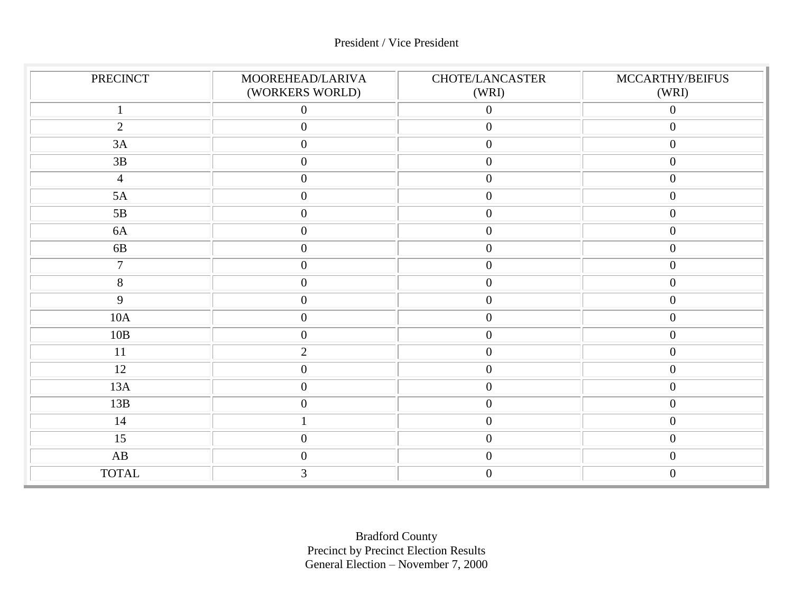### President / Vice President

| <b>PRECINCT</b> | MOOREHEAD/LARIVA<br>(WORKERS WORLD) | CHOTE/LANCASTER<br>(WRI) | MCCARTHY/BEIFUS<br>(WRI) |
|-----------------|-------------------------------------|--------------------------|--------------------------|
| $\mathbf{1}$    | $\boldsymbol{0}$                    | $\mathbf{0}$             | $\overline{0}$           |
| $\overline{2}$  | $\mathbf{0}$                        | $\mathbf{0}$             | $\boldsymbol{0}$         |
| 3A              | $\boldsymbol{0}$                    | $\mathbf{0}$             | $\boldsymbol{0}$         |
| 3B              | $\boldsymbol{0}$                    | $\overline{0}$           | $\boldsymbol{0}$         |
| $\overline{4}$  | $\boldsymbol{0}$                    | $\boldsymbol{0}$         | $\boldsymbol{0}$         |
| 5A              | $\boldsymbol{0}$                    | $\boldsymbol{0}$         | $\boldsymbol{0}$         |
| 5B              | $\boldsymbol{0}$                    | $\mathbf{0}$             | $\boldsymbol{0}$         |
| 6A              | $\boldsymbol{0}$                    | $\mathbf{0}$             | $\boldsymbol{0}$         |
| 6 <b>B</b>      | $\boldsymbol{0}$                    | $\mathbf{0}$             | $\boldsymbol{0}$         |
| $\tau$          | $\boldsymbol{0}$                    | $\boldsymbol{0}$         | $\boldsymbol{0}$         |
| 8               | $\boldsymbol{0}$                    | $\mathbf{0}$             | $\boldsymbol{0}$         |
| 9               | $\mathbf{0}$                        | $\mathbf{0}$             | $\boldsymbol{0}$         |
| $10A$           | $\boldsymbol{0}$                    | $\mathbf{0}$             | $\boldsymbol{0}$         |
| 10B             | $\boldsymbol{0}$                    | $\boldsymbol{0}$         | $\boldsymbol{0}$         |
| 11              | $\mathbf{2}$                        | $\boldsymbol{0}$         | $\boldsymbol{0}$         |
| 12              | $\boldsymbol{0}$                    | $\boldsymbol{0}$         | $\boldsymbol{0}$         |
| 13A             | $\boldsymbol{0}$                    | $\boldsymbol{0}$         | $\boldsymbol{0}$         |
| 13B             | $\boldsymbol{0}$                    | $\mathbf{0}$             | $\boldsymbol{0}$         |
| 14              |                                     | $\mathbf{0}$             | $\boldsymbol{0}$         |
| $\overline{15}$ | $\boldsymbol{0}$                    | $\mathbf{0}$             | $\boldsymbol{0}$         |
| AB              | $\boldsymbol{0}$                    | $\mathbf{0}$             | $\boldsymbol{0}$         |
| <b>TOTAL</b>    | 3                                   | $\theta$                 | $\overline{0}$           |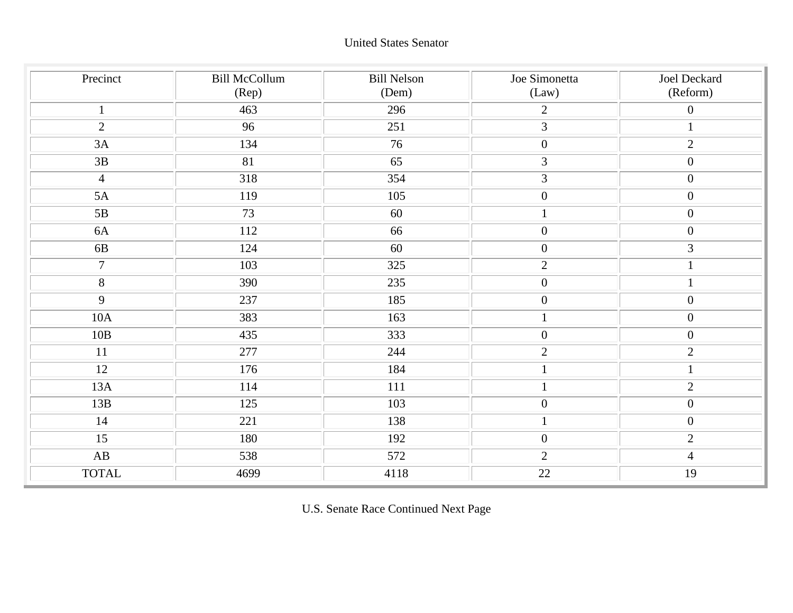| Precinct       | <b>Bill McCollum</b><br>(Rep) | <b>Bill Nelson</b><br>(Dem) | Joe Simonetta<br>(Law) | Joel Deckard<br>(Reform) |
|----------------|-------------------------------|-----------------------------|------------------------|--------------------------|
| $\mathbf{1}$   | 463                           | 296                         | $\overline{2}$         | $\overline{0}$           |
| 2              | 96                            | 251                         | 3                      | $\mathbf{1}$             |
| 3A             | 134                           | 76                          | $\boldsymbol{0}$       | $\overline{2}$           |
| $3B$           | 81                            | 65                          | $\mathfrak{Z}$         | $\boldsymbol{0}$         |
| $\overline{4}$ | 318                           | 354                         | $\overline{3}$         | $\boldsymbol{0}$         |
| 5A             | 119                           | 105                         | $\boldsymbol{0}$       | $\boldsymbol{0}$         |
| 5B             | 73                            | 60                          | $\mathbf 1$            | $\overline{0}$           |
| 6A             | 112                           | 66                          | $\boldsymbol{0}$       | $\overline{0}$           |
| 6B             | 124                           | 60                          | $\boldsymbol{0}$       | $\overline{3}$           |
| $\overline{7}$ | 103                           | 325                         | $\sqrt{2}$             | $\mathbf{1}$             |
| $\overline{8}$ | 390                           | 235                         | $\boldsymbol{0}$       | $\mathbf{1}$             |
| $\overline{9}$ | 237                           | 185                         | $\boldsymbol{0}$       | $\boldsymbol{0}$         |
| 10A            | 383                           | 163                         | $\,1\,$                | $\boldsymbol{0}$         |
| 10B            | 435                           | 333                         | $\boldsymbol{0}$       | $\mathbf{0}$             |
| 11             | 277                           | 244                         | $\sqrt{2}$             | $\overline{2}$           |
| 12             | 176                           | 184                         | $\mathbf 1$            | $\mathbf{1}$             |
| 13A            | 114                           | 111                         | $\,1\,$                | $\overline{2}$           |
| 13B            | 125                           | 103                         | $\boldsymbol{0}$       | $\mathbf{0}$             |
| 14             | 221                           | 138                         | $\mathbf 1$            | $\overline{0}$           |
| 15             | 180                           | 192                         | $\boldsymbol{0}$       | $\overline{2}$           |
| AB             | 538                           | 572                         | $\mathbf{2}$           | $\overline{4}$           |
| <b>TOTAL</b>   | 4699                          | 4118                        | 22                     | 19                       |

U.S. Senate Race Continued Next Page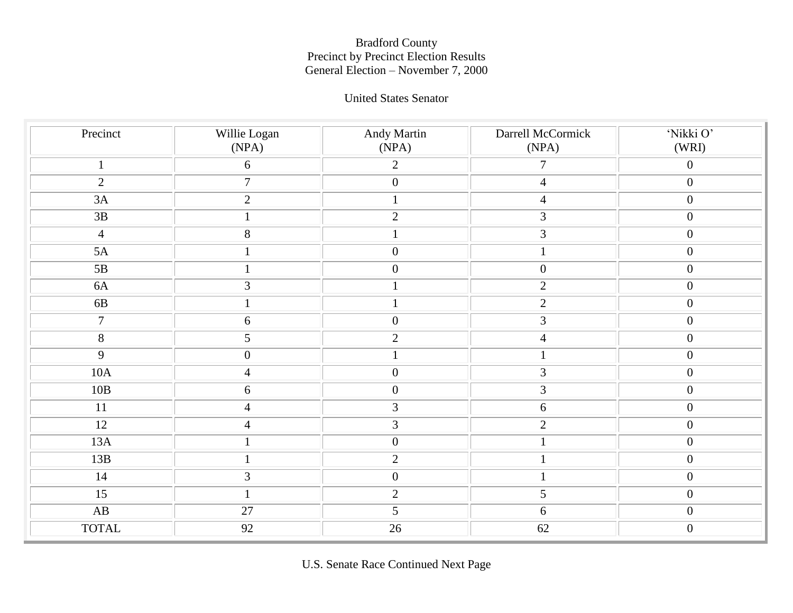#### United States Senator

| Precinct               | Willie Logan<br>(NPA) | <b>Andy Martin</b><br>(NPA) | Darrell McCormick<br>(NPA) | 'Nikki O'<br>(WRI) |
|------------------------|-----------------------|-----------------------------|----------------------------|--------------------|
| $\mathbf{1}$           | $\boldsymbol{6}$      | $\overline{2}$              | $\tau$                     | $\boldsymbol{0}$   |
| $\overline{2}$         | $\boldsymbol{7}$      | $\overline{0}$              | $\overline{4}$             | $\boldsymbol{0}$   |
| 3A                     | $\sqrt{2}$            | $\mathbf{1}$                | $\overline{4}$             | $\boldsymbol{0}$   |
| $3\mathrm{B}$          | $\mathbf 1$           | $\overline{2}$              | $\overline{3}$             | $\boldsymbol{0}$   |
| $\overline{4}$         | $\overline{8}$        | $\,1$                       | $\overline{3}$             | $\boldsymbol{0}$   |
| 5A                     | $\,1$                 | $\overline{0}$              | $\,1\,$                    | $\boldsymbol{0}$   |
| 5B                     | $\,1\,$               | $\boldsymbol{0}$            | $\overline{0}$             | $\boldsymbol{0}$   |
| $6A$                   | $\overline{3}$        | $\mathbf{1}$                | $\overline{2}$             | $\boldsymbol{0}$   |
| $6B$                   | $\,1\,$               | $\mathbf{1}$                | $\overline{2}$             | $\boldsymbol{0}$   |
| $\overline{7}$         | $\overline{6}$        | $\overline{0}$              | $\overline{3}$             | $\boldsymbol{0}$   |
| $\overline{8}$         | $\mathfrak{S}$        | $\overline{2}$              | $\overline{4}$             | $\boldsymbol{0}$   |
| 9                      | $\overline{0}$        | $\mathbf{1}$                | $\mathbf{1}$               | $\boldsymbol{0}$   |
| 10A                    | $\overline{4}$        | $\boldsymbol{0}$            | $\overline{3}$             | $\boldsymbol{0}$   |
| 10B                    | $\boldsymbol{6}$      | $\boldsymbol{0}$            | $\overline{3}$             | $\boldsymbol{0}$   |
| 11                     | $\overline{4}$        | 3                           | $\sqrt{6}$                 | $\boldsymbol{0}$   |
| 12                     | $\overline{4}$        | $\overline{3}$              | $\overline{2}$             | $\boldsymbol{0}$   |
| 13A                    | $\,1$                 | $\overline{0}$              | $\,1\,$                    | $\boldsymbol{0}$   |
| 13B                    | $\,1\,$               | $\overline{2}$              | $\mathbf 1$                | $\boldsymbol{0}$   |
| 14                     | 3                     | $\boldsymbol{0}$            | $\mathbf{1}$               | $\boldsymbol{0}$   |
| 15                     | $\,1\,$               | $\sqrt{2}$                  | $\mathfrak{S}$             | $\boldsymbol{0}$   |
| $\mathbf{A}\mathbf{B}$ | 27                    | 5                           | $6\,$                      | $\boldsymbol{0}$   |
| <b>TOTAL</b>           | 92                    | 26                          | 62                         | $\boldsymbol{0}$   |

U.S. Senate Race Continued Next Page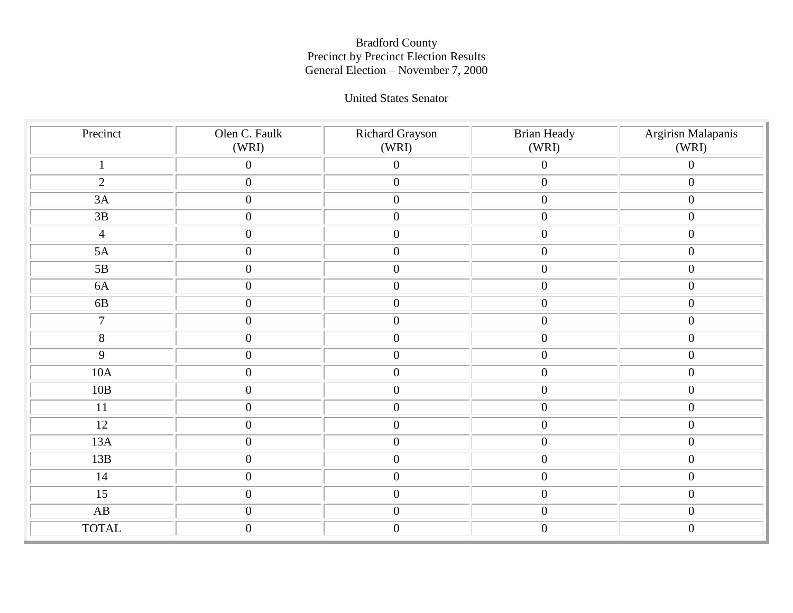### United States Senator

| Precinct        | Olen C. Faulk<br>(WRI) | Richard Grayson<br>(WRI) | <b>Brian Heady</b><br>(WRI) | Argirisn Malapanis<br>(WRI) |
|-----------------|------------------------|--------------------------|-----------------------------|-----------------------------|
| $\mathbf{1}$    | $\boldsymbol{0}$       | $\boldsymbol{0}$         | $\boldsymbol{0}$            | $\overline{0}$              |
| $\overline{2}$  | $\boldsymbol{0}$       | $\boldsymbol{0}$         | $\boldsymbol{0}$            | $\boldsymbol{0}$            |
| 3A              | $\boldsymbol{0}$       | $\boldsymbol{0}$         | $\boldsymbol{0}$            | $\boldsymbol{0}$            |
| $\overline{3B}$ | $\boldsymbol{0}$       | $\boldsymbol{0}$         | $\boldsymbol{0}$            | $\boldsymbol{0}$            |
| $\overline{4}$  | $\boldsymbol{0}$       | $\boldsymbol{0}$         | $\boldsymbol{0}$            | $\overline{0}$              |
| 5A              | $\boldsymbol{0}$       | $\boldsymbol{0}$         | $\boldsymbol{0}$            | $\boldsymbol{0}$            |
| 5B              | $\boldsymbol{0}$       | $\boldsymbol{0}$         | $\boldsymbol{0}$            | $\boldsymbol{0}$            |
| $6A$            | $\boldsymbol{0}$       | $\boldsymbol{0}$         | $\overline{0}$              | $\boldsymbol{0}$            |
| $6B$            | $\boldsymbol{0}$       | $\boldsymbol{0}$         | $\boldsymbol{0}$            | $\mathbf{0}$                |
| $\overline{7}$  | $\boldsymbol{0}$       | $\boldsymbol{0}$         | $\boldsymbol{0}$            | $\boldsymbol{0}$            |
| $8\,$           | $\boldsymbol{0}$       | $\boldsymbol{0}$         | $\boldsymbol{0}$            | $\boldsymbol{0}$            |
| $\mathbf{9}$    | $\boldsymbol{0}$       | $\boldsymbol{0}$         | $\boldsymbol{0}$            | $\boldsymbol{0}$            |
| $10A$           | $\boldsymbol{0}$       | $\boldsymbol{0}$         | $\boldsymbol{0}$            | $\boldsymbol{0}$            |
| 10B             | $\boldsymbol{0}$       | $\boldsymbol{0}$         | $\boldsymbol{0}$            | $\boldsymbol{0}$            |
| 11              | $\boldsymbol{0}$       | $\boldsymbol{0}$         | $\boldsymbol{0}$            | $\boldsymbol{0}$            |
| $\overline{12}$ | $\boldsymbol{0}$       | $\boldsymbol{0}$         | $\boldsymbol{0}$            | $\overline{0}$              |
| 13A             | $\boldsymbol{0}$       | $\boldsymbol{0}$         | $\boldsymbol{0}$            | $\boldsymbol{0}$            |
| 13B             | $\overline{0}$         | $\boldsymbol{0}$         | $\boldsymbol{0}$            | $\overline{0}$              |
| 14              | $\boldsymbol{0}$       | $\boldsymbol{0}$         | $\boldsymbol{0}$            | $\mathbf{0}$                |
| 15              | $\boldsymbol{0}$       | $\boldsymbol{0}$         | $\boldsymbol{0}$            | $\boldsymbol{0}$            |
| AB              | $\boldsymbol{0}$       | $\boldsymbol{0}$         | $\boldsymbol{0}$            | $\boldsymbol{0}$            |
| <b>TOTAL</b>    | $\boldsymbol{0}$       | $\boldsymbol{0}$         | $\boldsymbol{0}$            | $\boldsymbol{0}$            |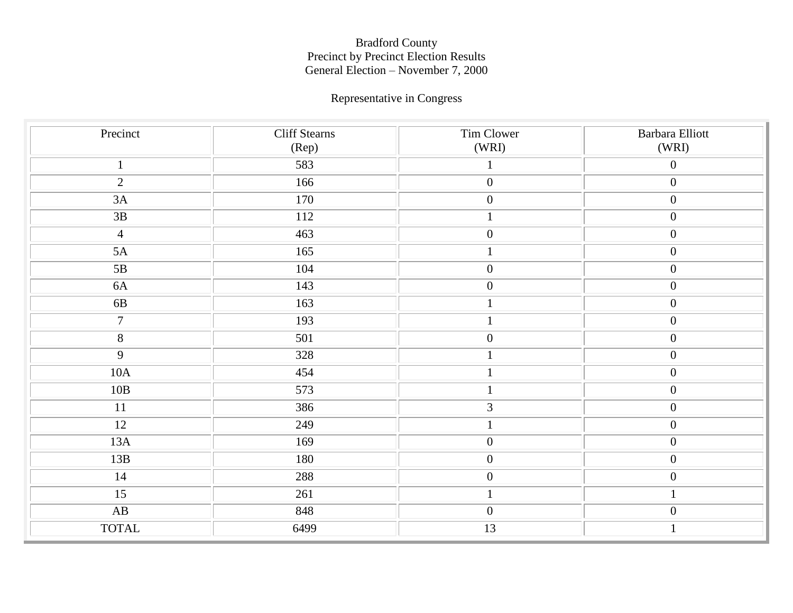# Representative in Congress

| Precinct        | <b>Cliff Stearns</b><br>(Rep) | Tim Clower<br>(WRI) | Barbara Elliott<br>(WRI) |
|-----------------|-------------------------------|---------------------|--------------------------|
| $\mathbf{1}$    | 583                           |                     | $\boldsymbol{0}$         |
| $\overline{2}$  | 166                           | $\boldsymbol{0}$    | $\boldsymbol{0}$         |
| $3A$            | 170                           | $\boldsymbol{0}$    | $\boldsymbol{0}$         |
| $3B$            | 112                           | $\mathbf 1$         | $\boldsymbol{0}$         |
| $\overline{4}$  | 463                           | $\boldsymbol{0}$    | $\overline{0}$           |
| 5A              | 165                           | $\mathbf{1}$        | $\overline{0}$           |
| 5B              | 104                           | $\boldsymbol{0}$    | $\overline{0}$           |
| $6A$            | 143                           | $\boldsymbol{0}$    | $\boldsymbol{0}$         |
| 6B              | 163                           | $\mathbf{1}$        | $\overline{0}$           |
| $\tau$          | 193                           |                     | $\overline{0}$           |
| $8\,$           | 501                           | $\boldsymbol{0}$    | $\boldsymbol{0}$         |
| $\overline{9}$  | 328                           | $\mathbf{1}$        | $\overline{0}$           |
| $10A$           | 454                           | $\mathbf{1}$        | $\boldsymbol{0}$         |
| 10B             | 573                           |                     | $\overline{0}$           |
| $11\,$          | 386                           | $\mathfrak{Z}$      | $\boldsymbol{0}$         |
| $\overline{12}$ | 249                           | $\mathbf{1}$        | $\overline{0}$           |
| 13A             | 169                           | $\boldsymbol{0}$    | $\overline{0}$           |
| 13B             | 180                           | $\boldsymbol{0}$    | $\overline{0}$           |
| 14              | 288                           | $\boldsymbol{0}$    | $\boldsymbol{0}$         |
| 15              | 261                           |                     | $\mathbf{1}$             |
| AB              | 848                           | $\boldsymbol{0}$    | $\boldsymbol{0}$         |
| <b>TOTAL</b>    | 6499                          | 13                  | $\mathbf{1}$             |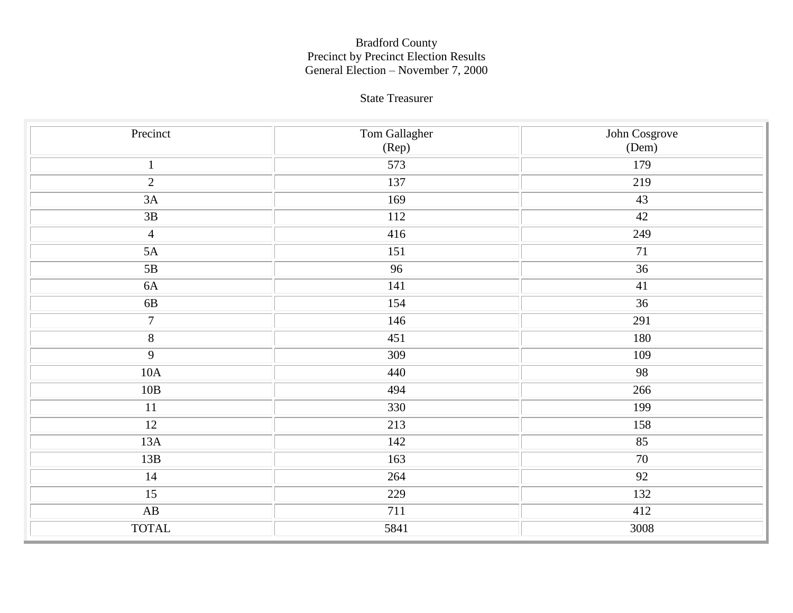### State Treasurer

| Precinct               | Tom Gallagher    | John Cosgrove |
|------------------------|------------------|---------------|
|                        | (Rep)            | (Dem)         |
| $\mathbf{1}$           | 573              | 179           |
| $\overline{2}$         | 137              | 219           |
| 3A                     | 169              | 43            |
| 3B                     | <b>112</b>       | 42            |
| $\overline{4}$         | 416              | 249           |
| $5A$                   | 151              | 71            |
| 5B                     | 96               | 36            |
| $6A$                   | 141              | 41            |
| 6B                     | 154              | 36            |
| $\boldsymbol{7}$       | 146              | 291           |
| $\overline{8}$         | 451              | 180           |
| $\overline{9}$         | 309              | 109           |
| $10A$                  | 440              | 98            |
| $10B$                  | 494              | 266           |
| $11\,$                 | 330              | 199           |
| $\overline{12}$        | $\overline{213}$ | 158           |
| 13A                    | 142              | 85            |
| 13B                    | 163              | 70            |
| $14\,$                 | 264              | 92            |
| 15                     | 229              | 132           |
| $\mathbf{A}\mathbf{B}$ | 711              | 412           |
| <b>TOTAL</b>           | 5841             | 3008          |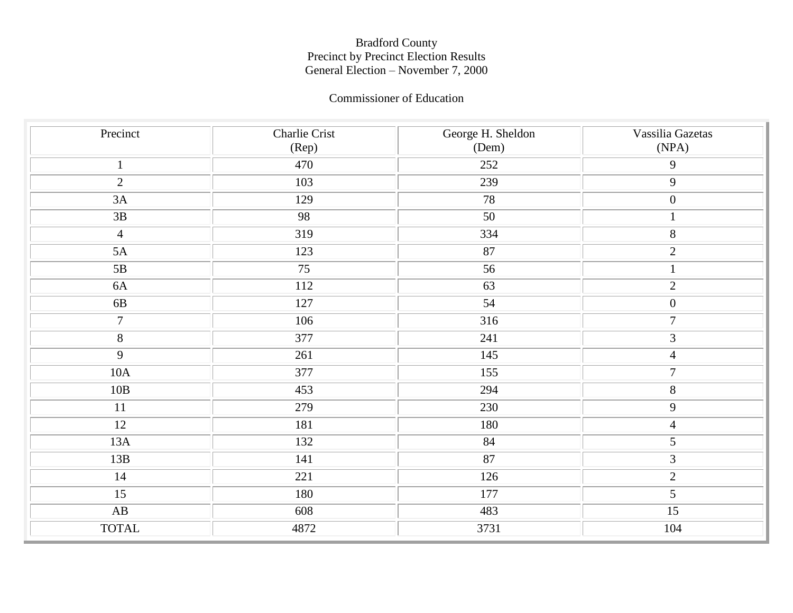#### Commissioner of Education

| Precinct       | Charlie Crist<br>(Rep) | George H. Sheldon<br>(Dem) | Vassilia Gazetas<br>(NPA) |
|----------------|------------------------|----------------------------|---------------------------|
| $\mathbf{1}$   | 470                    | 252                        | $\mathbf{9}$              |
| $\overline{2}$ | 103                    | 239                        | 9                         |
| 3A             | 129                    | 78                         | $\boldsymbol{0}$          |
| 3B             | 98                     | 50                         | $\mathbf{1}$              |
| $\overline{4}$ | 319                    | 334                        | $\overline{8}$            |
| 5A             | 123                    | 87                         | $\overline{2}$            |
| $5B$           | 75                     | 56                         | $\mathbf{1}$              |
| 6A             | 112                    | 63                         | $\mathbf{2}$              |
| 6B             | 127                    | 54                         | $\boldsymbol{0}$          |
| $\tau$         | 106                    | $\overline{316}$           | $\boldsymbol{7}$          |
| $8\,$          | 377                    | 241                        | $\mathfrak 3$             |
| $\overline{9}$ | 261                    | 145                        | $\overline{4}$            |
| $10A$          | 377                    | 155                        | $\boldsymbol{7}$          |
| $10B$          | 453                    | 294                        | $8\,$                     |
| 11             | 279                    | 230                        | $\mathbf{9}$              |
| 12             | 181                    | 180                        | $\overline{4}$            |
| 13A            | 132                    | 84                         | $\overline{5}$            |
| 13B            | 141                    | 87                         | $\overline{3}$            |
| 14             | 221                    | 126                        | $\sqrt{2}$                |
| 15             | 180                    | 177                        | 5                         |
| AB             | 608                    | 483                        | 15                        |
| <b>TOTAL</b>   | 4872                   | 3731                       | 104                       |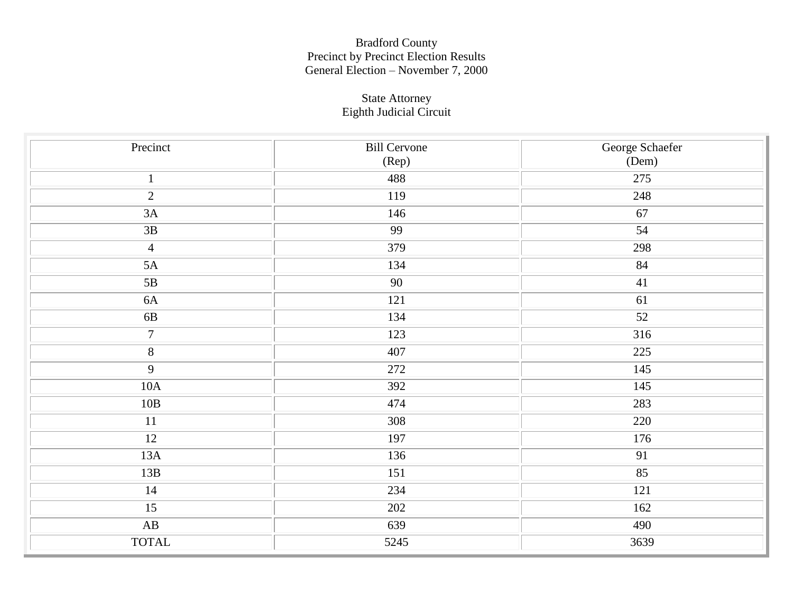#### State Attorney Eighth Judicial Circuit

| Precinct               | <b>Bill Cervone</b> | George Schaefer |
|------------------------|---------------------|-----------------|
|                        | (Rep)               | (Dem)           |
| $\mathbf{1}$           | 488                 | 275             |
| $\overline{2}$         | 119                 | 248             |
| $3A$                   | 146                 | 67              |
| $\overline{3B}$        | 99                  | 54              |
| $\overline{4}$         | 379                 | 298             |
| $5A$                   | 134                 | 84              |
| 5B                     | 90                  | 41              |
| $6A$                   | 121                 | 61              |
| $6B$                   | 134                 | 52              |
| $\boldsymbol{7}$       | 123                 | 316             |
| $\overline{\bf 8}$     | 407                 | 225             |
| $\overline{9}$         | 272                 | 145             |
| 10A                    | 392                 | 145             |
| $10B$                  | 474                 | 283             |
| 11                     | 308                 | 220             |
| 12                     | 197                 | 176             |
| $13A$                  | 136                 | 91              |
| 13B                    | 151                 | $\overline{85}$ |
| 14                     | 234                 | 121             |
| 15                     | 202                 | 162             |
| $\mathbf{A}\mathbf{B}$ | 639                 | 490             |
| <b>TOTAL</b>           | 5245                | 3639            |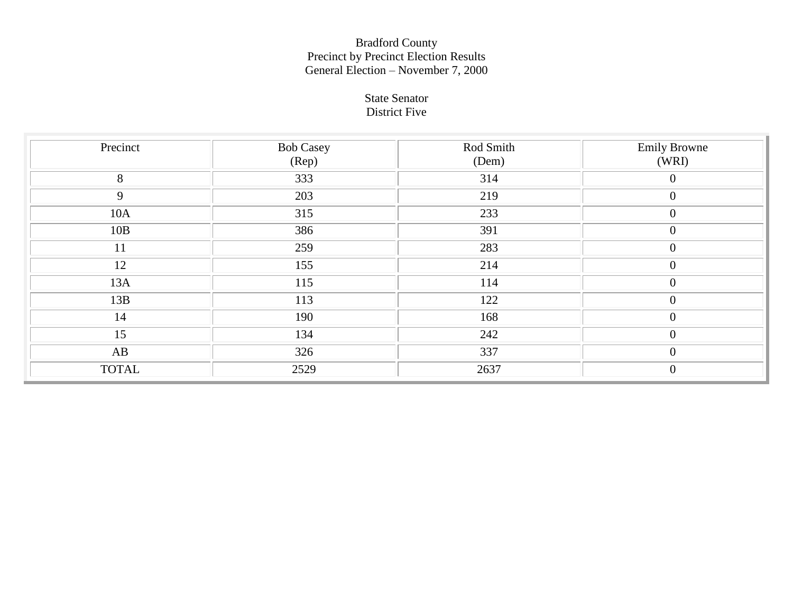#### State Senator District Five

| Precinct     | <b>Bob Casey</b><br>$(\text{Rep})$ | Rod Smith<br>(Dem) | <b>Emily Browne</b><br>(WRI) |
|--------------|------------------------------------|--------------------|------------------------------|
| 8            | 333                                | 314                | $\boldsymbol{0}$             |
| 9            | 203                                | 219                | $\overline{0}$               |
| 10A          | 315                                | 233                | $\overline{0}$               |
| 10B          | 386                                | 391                | $\mathbf{0}$                 |
| 11           | 259                                | 283                | $\overline{0}$               |
| 12           | 155                                | 214                | $\overline{0}$               |
| 13A          | 115                                | 114                | $\overline{0}$               |
| 13B          | 113                                | 122                | $\boldsymbol{0}$             |
| 14           | 190                                | 168                | $\Omega$                     |
| 15           | 134                                | 242                | $\theta$                     |
| AB           | 326                                | 337                | $\overline{0}$               |
| <b>TOTAL</b> | 2529                               | 2637               | $\overline{0}$               |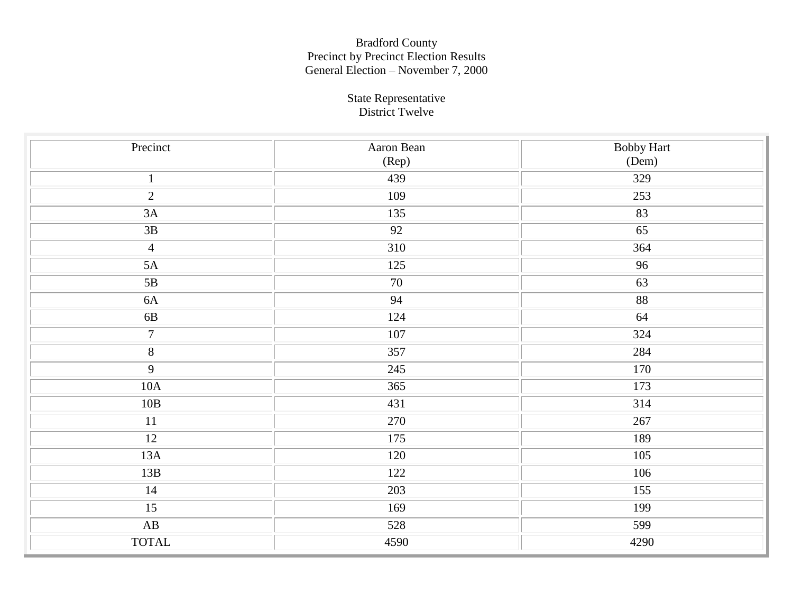#### State Representative District Twelve

| Precinct               | Aaron Bean       | <b>Bobby Hart</b>   |
|------------------------|------------------|---------------------|
|                        | (Rep)            | (Dem)               |
| $\mathbf{1}$           | 439              | 329                 |
| $\sqrt{2}$             | 109              | 253                 |
| 3A                     | 135              | 83                  |
| $3B$                   | $\overline{92}$  | $\overline{65}$     |
| $\overline{4}$         | $\overline{310}$ | 364                 |
| $5A$                   | 125              | 96                  |
| $5\mathrm{B}$          | 70               | 63                  |
| $6A$                   | 94               | $\overline{\bf 88}$ |
| 6B                     | 124              | 64                  |
| $\overline{7}$         | 107              | 324                 |
| $\overline{\bf 8}$     | 357              | 284                 |
| $\overline{9}$         | 245              | $\overline{170}$    |
| $10\mathrm{A}$         | 365              | 173                 |
| $10B$                  | 431              | 314                 |
| $11\,$                 | 270              | 267                 |
| 12                     | 175              | 189                 |
| $13A$                  | 120              | 105                 |
| 13B                    | 122              | 106                 |
| 14                     | 203              | 155                 |
| 15                     | 169              | 199                 |
| $\mathbf{A}\mathbf{B}$ | 528              | 599                 |
| <b>TOTAL</b>           | 4590             | 4290                |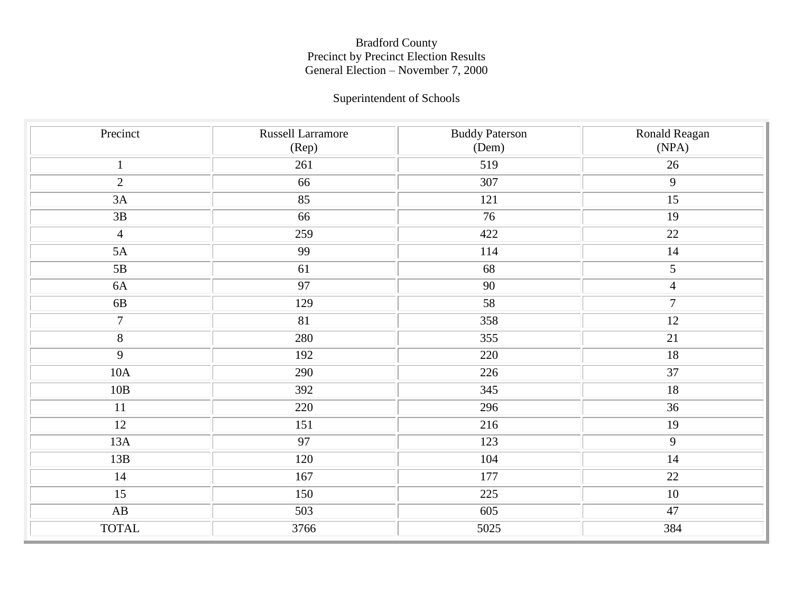## Superintendent of Schools

| Precinct               | Russell Larramore<br>$(\text{Rep})$ | <b>Buddy Paterson</b><br>(Dem) | Ronald Reagan<br>(NPA) |
|------------------------|-------------------------------------|--------------------------------|------------------------|
| $\mathbf{1}$           | 261                                 | 519                            | 26                     |
| $\overline{2}$         | 66                                  | 307                            | 9                      |
| 3A                     | 85                                  | 121                            | $\overline{15}$        |
| 3B                     | 66                                  | 76                             | $\overline{19}$        |
| $\overline{4}$         | 259                                 | 422                            | 22                     |
| 5A                     | 99                                  | 114                            | 14                     |
| 5B                     | 61                                  | 68                             | $\overline{5}$         |
| 6A                     | 97                                  | 90                             | $\overline{4}$         |
| 6B                     | 129                                 | 58                             | $\overline{7}$         |
| $\overline{7}$         | 81                                  | 358                            | $\overline{12}$        |
| $8\,$                  | 280                                 | 355                            | 21                     |
| $\overline{9}$         | 192                                 | 220                            | $\overline{18}$        |
| $10A$                  | 290                                 | 226                            | 37                     |
| 10B                    | 392                                 | 345                            | $\overline{18}$        |
| 11                     | 220                                 | 296                            | 36                     |
| $\overline{12}$        | 151                                 | 216                            | $\overline{19}$        |
| 13A                    | 97                                  | 123                            | $\overline{9}$         |
| 13B                    | 120                                 | 104                            | 14                     |
| 14                     | 167                                 | 177                            | 22                     |
| 15                     | 150                                 | 225                            | $10\,$                 |
| $\mathbf{A}\mathbf{B}$ | 503                                 | 605                            | 47                     |
| <b>TOTAL</b>           | 3766                                | 5025                           | 384                    |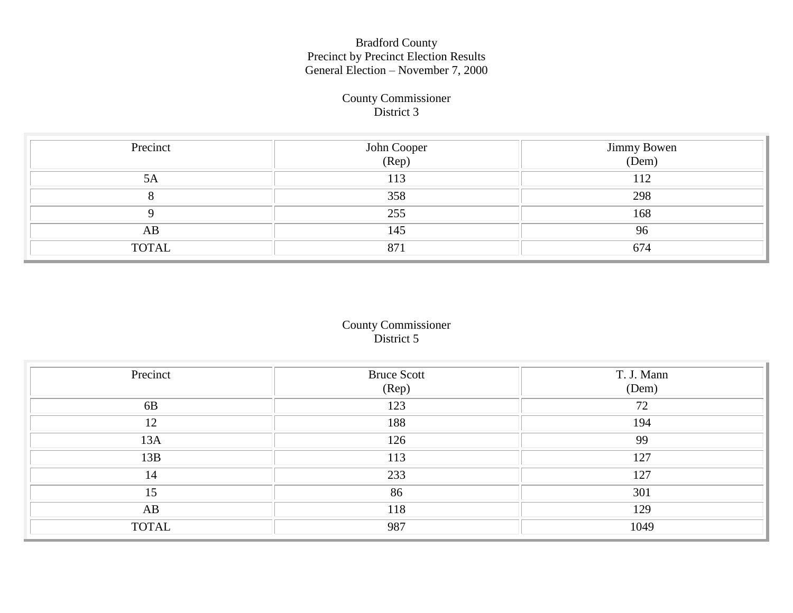#### County Commissioner District 3

| Precinct     | John Cooper<br>(Rep) | Jimmy Bowen<br>(Dem) |
|--------------|----------------------|----------------------|
| 5A           | 113                  | 112                  |
|              | 358                  | 298                  |
|              | 255                  | 168                  |
| AB           | 145                  | 96                   |
| <b>TOTAL</b> | 871                  | 674                  |

### County Commissioner District 5

| Precinct     | <b>Bruce Scott</b><br>(Rep) | T. J. Mann<br>(Dem) |
|--------------|-----------------------------|---------------------|
| 6B           | 123                         | 72                  |
| 12           | 188                         | 194                 |
| 13A          | 126                         | 99                  |
| 13B          | 113                         | 127                 |
| 14           | 233                         | 127                 |
| 15           | 86                          | 301                 |
| AB           | 118                         | 129                 |
| <b>TOTAL</b> | 987                         | 1049                |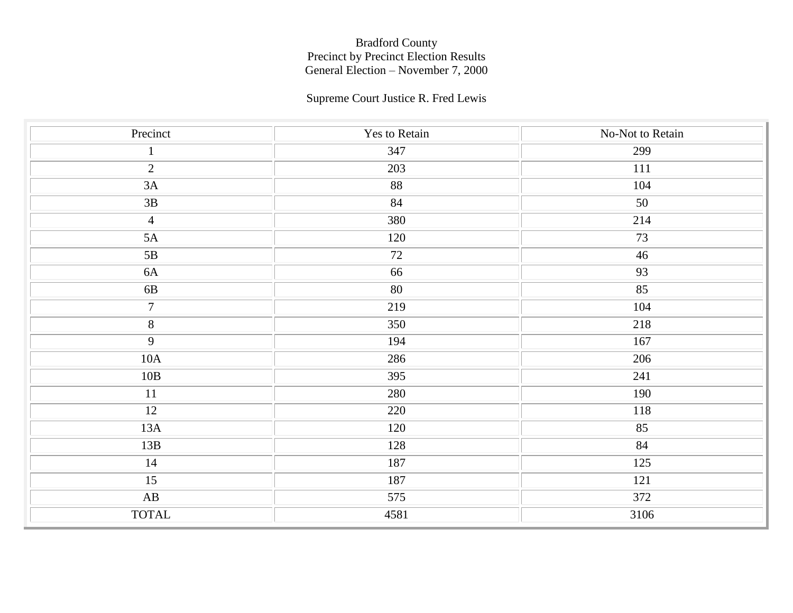## Supreme Court Justice R. Fred Lewis

| Precinct               | Yes to Retain | No-Not to Retain |
|------------------------|---------------|------------------|
| $\mathbf{1}$           | 347           | 299              |
| $\overline{2}$         | 203           | 111              |
| $3A$                   | 88            | 104              |
| $3\mathrm{B}$          | 84            | 50               |
| $\overline{4}$         | 380           | 214              |
| 5A                     | 120           | 73               |
| 5B                     | 72            | 46               |
| $6A$                   | 66            | 93               |
| $6B$                   | $80\,$        | 85               |
| $\overline{7}$         | 219           | 104              |
| $\overline{\bf 8}$     | 350           | 218              |
| $\overline{9}$         | 194           | 167              |
| $10\mathrm{A}$         | 286           | 206              |
| $10B$                  | 395           | 241              |
| 11                     | 280           | 190              |
| 12                     | 220           | 118              |
| 13A                    | 120           | 85               |
| 13B                    | 128           | 84               |
| 14                     | 187           | 125              |
| 15                     | 187           | 121              |
| $\mathbf{A}\mathbf{B}$ | 575           | 372              |
| <b>TOTAL</b>           | 4581          | 3106             |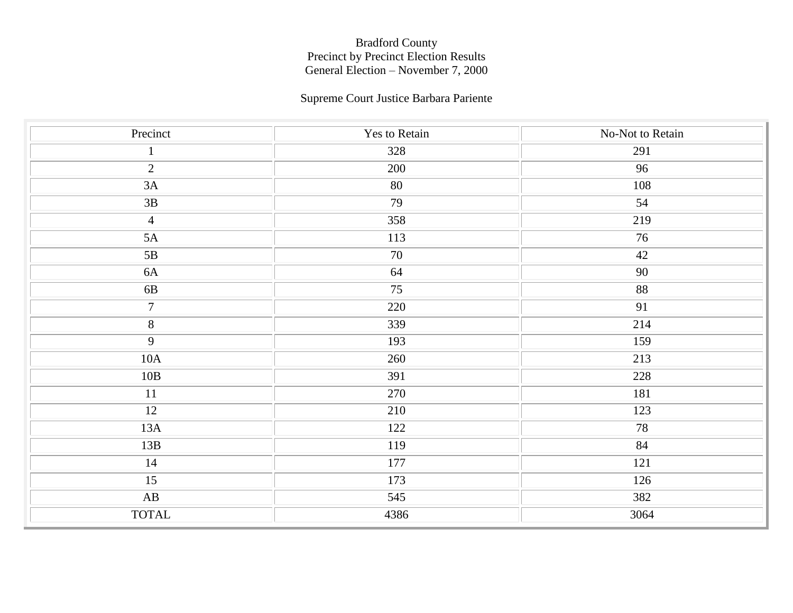### Supreme Court Justice Barbara Pariente

| Precinct               | Yes to Retain | No-Not to Retain |
|------------------------|---------------|------------------|
| $\mathbf{1}$           | 328           | 291              |
| $\overline{2}$         | 200           | 96               |
| $3A$                   | 80            | 108              |
| $3B$                   | 79            | 54               |
| $\overline{4}$         | 358           | 219              |
| $5A$                   | 113           | 76               |
| 5B                     | 70            | 42               |
| $6A$                   | 64            | 90               |
| $6B$                   | 75            | 88               |
| $\overline{7}$         | 220           | 91               |
| $\overline{8}$         | 339           | 214              |
| $\overline{9}$         | 193           | 159              |
| $10A$                  | 260           | 213              |
| 10B                    | 391           | 228              |
| 11                     | 270           | 181              |
| 12                     | 210           | 123              |
| 13A                    | 122           | 78               |
| 13B                    | 119           | 84               |
| 14                     | 177           | 121              |
| 15                     | 173           | 126              |
| $\mathbf{A}\mathbf{B}$ | 545           | 382              |
| <b>TOTAL</b>           | 4386          | 3064             |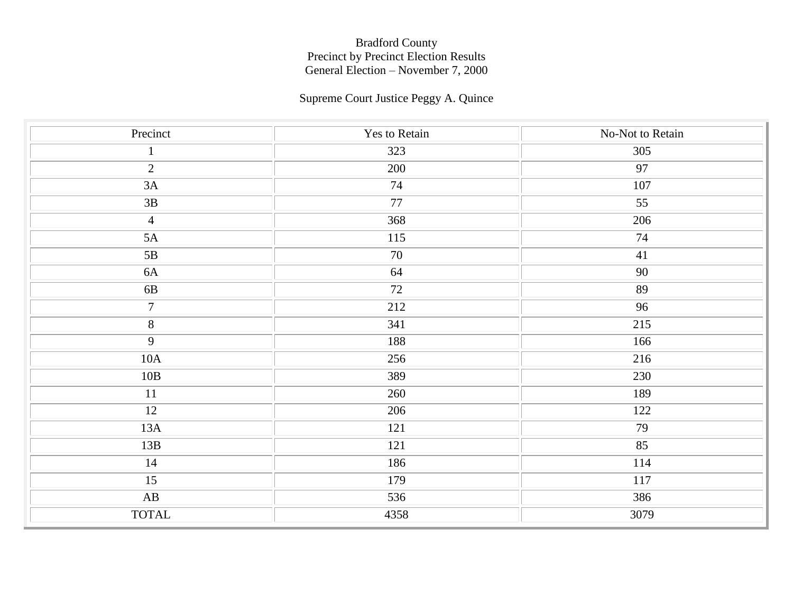# Supreme Court Justice Peggy A. Quince

| Precinct               | Yes to Retain   | No-Not to Retain |
|------------------------|-----------------|------------------|
| $\mathbf{1}$           | 323             | 305              |
| $\overline{2}$         | 200             | 97               |
| 3A                     | 74              | 107              |
| $3\mathrm{B}$          | $\overline{77}$ | $\overline{55}$  |
| $\overline{4}$         | 368             | 206              |
| $5A$                   | 115             | 74               |
| 5B                     | 70              | 41               |
| $6A$                   | 64              | 90               |
| $6\mathrm{B}$          | $72\,$          | 89               |
| $\overline{7}$         | 212             | 96               |
| $\overline{8}$         | 341             | 215              |
| $\overline{9}$         | 188             | 166              |
| 10A                    | 256             | 216              |
| 10B                    | 389             | 230              |
| 11                     | 260             | 189              |
| 12                     | 206             | 122              |
| 13A                    | 121             | 79               |
| 13B                    | 121             | 85               |
| 14                     | 186             | 114              |
| 15                     | 179             | 117              |
| $\mathbf{A}\mathbf{B}$ | 536             | 386              |
| <b>TOTAL</b>           | 4358            | 3079             |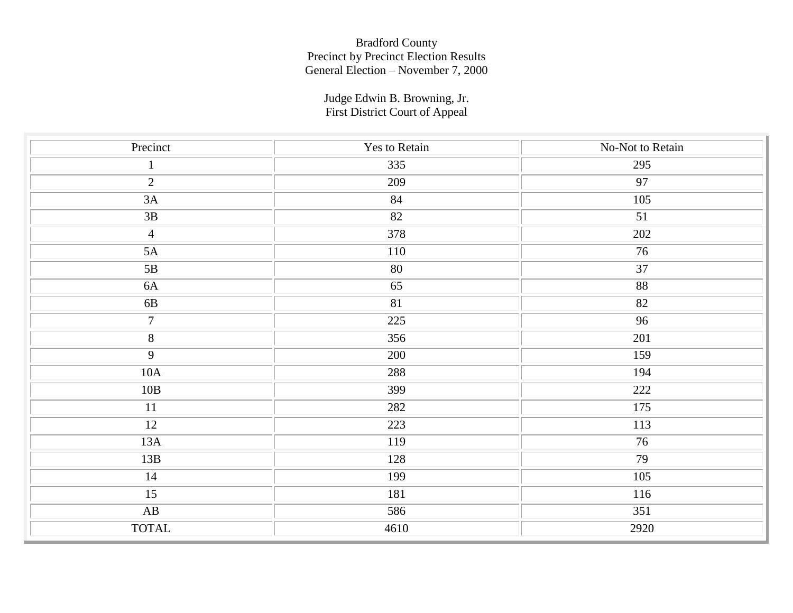Judge Edwin B. Browning, Jr. First District Court of Appeal

| Precinct               | Yes to Retain    | No-Not to Retain |
|------------------------|------------------|------------------|
| $\mathbf{1}$           | 335              | 295              |
| $\overline{2}$         | 209              | 97               |
| 3A                     | 84               | 105              |
| $3B$                   | 82               | 51               |
| $\overline{4}$         | 378              | 202              |
| 5A                     | 110              | 76               |
| 5B                     | 80               | $\overline{37}$  |
| 6A                     | 65               | $88\,$           |
| $6B$                   | 81               | 82               |
| $\overline{7}$         | $\overline{225}$ | 96               |
| $\overline{\bf 8}$     | 356              | 201              |
| $\overline{9}$         | 200              | 159              |
| $10\mbox{\AA}$         | 288              | 194              |
| 10B                    | 399              | 222              |
| 11                     | 282              | 175              |
| 12                     | 223              | 113              |
| 13A                    | 119              | 76               |
| 13B                    | 128              | $\overline{79}$  |
| 14                     | 199              | 105              |
| 15                     | 181              | 116              |
| $\mathbf{A}\mathbf{B}$ | 586              | 351              |
| <b>TOTAL</b>           | 4610             | 2920             |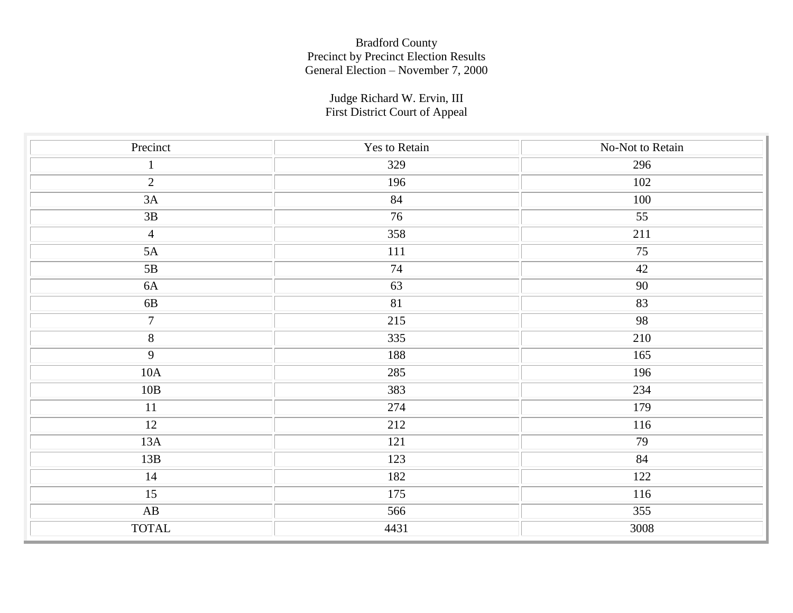Judge Richard W. Ervin, III First District Court of Appeal

| Precinct               | Yes to Retain | No-Not to Retain |
|------------------------|---------------|------------------|
| $\mathbf{1}$           | 329           | 296              |
| $\overline{2}$         | 196           | 102              |
| $3A$                   | 84            | 100              |
| $3B$                   | 76            | 55               |
| $\overline{4}$         | 358           | 211              |
| 5A                     | $111\,$       | 75               |
| 5B                     | 74            | 42               |
| 6A                     | 63            | 90               |
| $6B$                   | 81            | 83               |
| $\overline{7}$         | 215           | 98               |
| $\overline{8}$         | 335           | 210              |
| $\overline{9}$         | 188           | 165              |
| 10A                    | 285           | 196              |
| 10B                    | 383           | 234              |
| 11                     | 274           | 179              |
| 12                     | 212           | 116              |
| 13A                    | 121           | 79               |
| 13B                    | 123           | 84               |
| 14                     | 182           | 122              |
| 15                     | 175           | 116              |
| $\mathbf{A}\mathbf{B}$ | 566           | 355              |
| <b>TOTAL</b>           | 4431          | 3008             |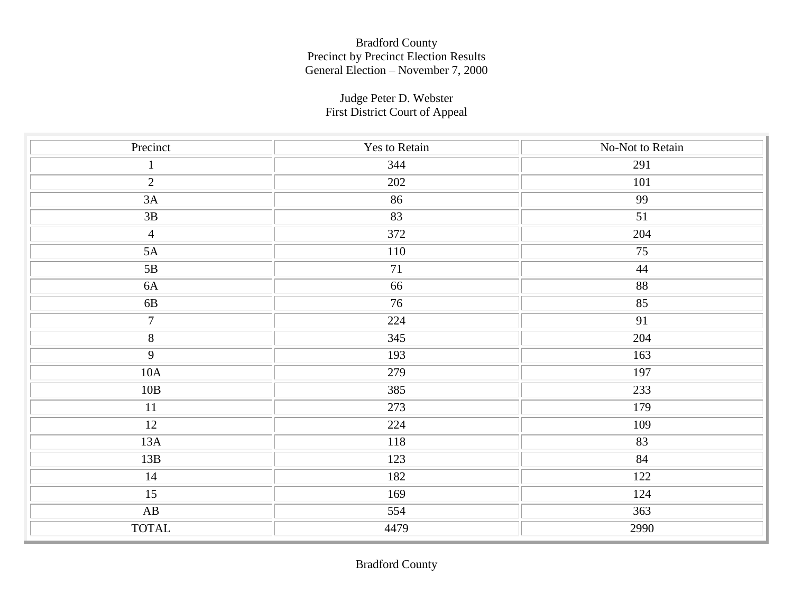#### Judge Peter D. Webster First District Court of Appeal

| Precinct               | Yes to Retain    | No-Not to Retain |
|------------------------|------------------|------------------|
| $\mathbf{1}$           | 344              | 291              |
| $\overline{2}$         | 202              | <b>101</b>       |
| 3A                     | 86               | 99               |
| 3B                     | 83               | 51               |
| $\overline{4}$         | $\overline{372}$ | 204              |
| $5A$                   | 110              | 75               |
| 5B                     | 71               | 44               |
| 6A                     | 66               | 88               |
| $6B$                   | 76               | 85               |
| $\overline{7}$         | 224              | $\overline{91}$  |
| $\overline{\bf 8}$     | 345              | 204              |
| $\overline{9}$         | 193              | 163              |
| $10\mathrm{A}$         | 279              | 197              |
| 10B                    | 385              | 233              |
| $11\,$                 | 273              | 179              |
| 12                     | 224              | 109              |
| 13A                    | 118              | 83               |
| 13B                    | 123              | 84               |
| $14\,$                 | 182              | 122              |
| 15                     | 169              | 124              |
| $\mathbf{A}\mathbf{B}$ | 554              | 363              |
| <b>TOTAL</b>           | 4479             | 2990             |

Bradford County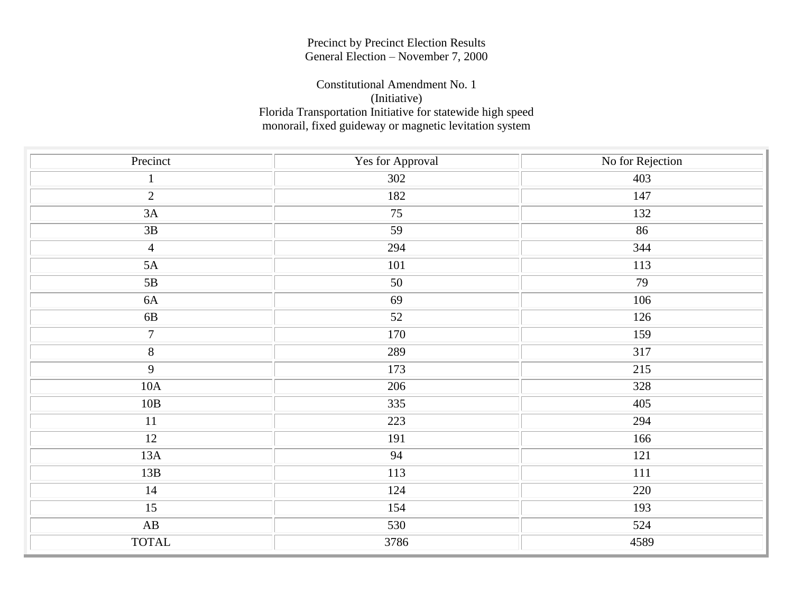#### Precinct by Precinct Election Results General Election – November 7, 2000

#### Constitutional Amendment No. 1 (Initiative) Florida Transportation Initiative for statewide high speed monorail, fixed guideway or magnetic levitation system

| Precinct               | Yes for Approval | No for Rejection |
|------------------------|------------------|------------------|
| $\mathbf{1}$           | 302              | 403              |
| $\overline{2}$         | 182              | 147              |
| $3A$                   | 75               | 132              |
| 3B                     | 59               | 86               |
| $\overline{4}$         | 294              | 344              |
| $5A$                   | 101              | 113              |
| 5B                     | 50               | 79               |
| $6A$                   | 69               | 106              |
| $6\mathrm{B}$          | 52               | 126              |
| $\boldsymbol{7}$       | 170              | 159              |
| $\overline{\bf 8}$     | 289              | 317              |
| $\overline{9}$         | 173              | 215              |
| $10A$                  | 206              | 328              |
| 10B                    | 335              | 405              |
| $11\,$                 | 223              | 294              |
| 12                     | 191              | 166              |
| 13A                    | 94               | 121              |
| 13B                    | $\overline{113}$ | 111              |
| 14                     | 124              | 220              |
| $\overline{15}$        | 154              | 193              |
| $\mathbf{A}\mathbf{B}$ | 530              | 524              |
| <b>TOTAL</b>           | 3786             | 4589             |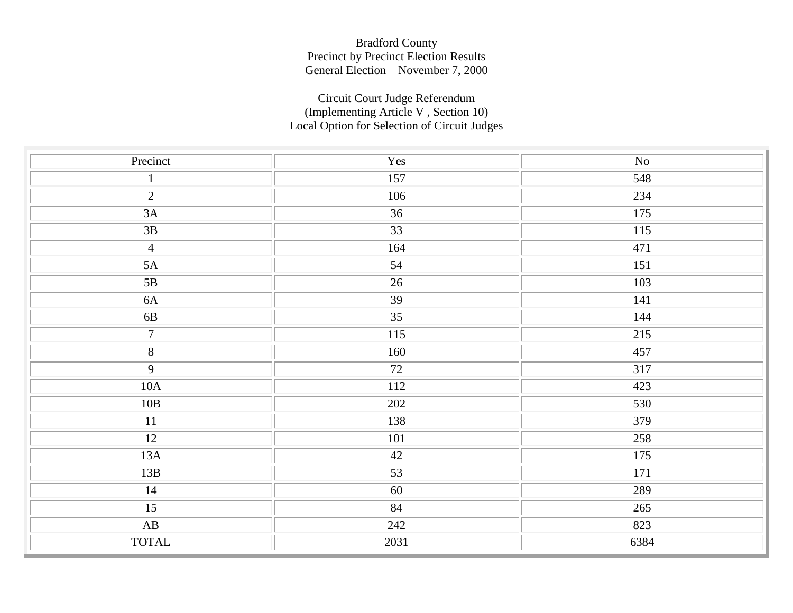### Circuit Court Judge Referendum (Implementing Article V , Section 10) Local Option for Selection of Circuit Judges

| Precinct               | Yes             | $\rm No$ |
|------------------------|-----------------|----------|
| $\mathbf 1$            | 157             | 548      |
| $\overline{2}$         | 106             | 234      |
| $3A$                   | 36              | 175      |
| $3B$                   | $\overline{33}$ | 115      |
| $\overline{4}$         | 164             | 471      |
| $5A$                   | 54              | 151      |
| $5\mathrm{B}$          | 26              | 103      |
| 6A                     | 39              | 141      |
| $6\mathrm{B}$          | $\overline{35}$ | 144      |
| $\overline{7}$         | 115             | 215      |
| $\overline{8}$         | 160             | 457      |
| $\overline{9}$         | 72              | 317      |
| $10A$                  | <b>112</b>      | 423      |
| $10B$                  | 202             | 530      |
| 11                     | 138             | 379      |
| 12                     | $101\,$         | 258      |
| 13A                    | 42              | 175      |
| 13B                    | $\overline{53}$ | 171      |
| 14                     | 60              | 289      |
| $\overline{15}$        | 84              | 265      |
| $\mathbf{A}\mathbf{B}$ | 242             | 823      |
| <b>TOTAL</b>           | 2031            | 6384     |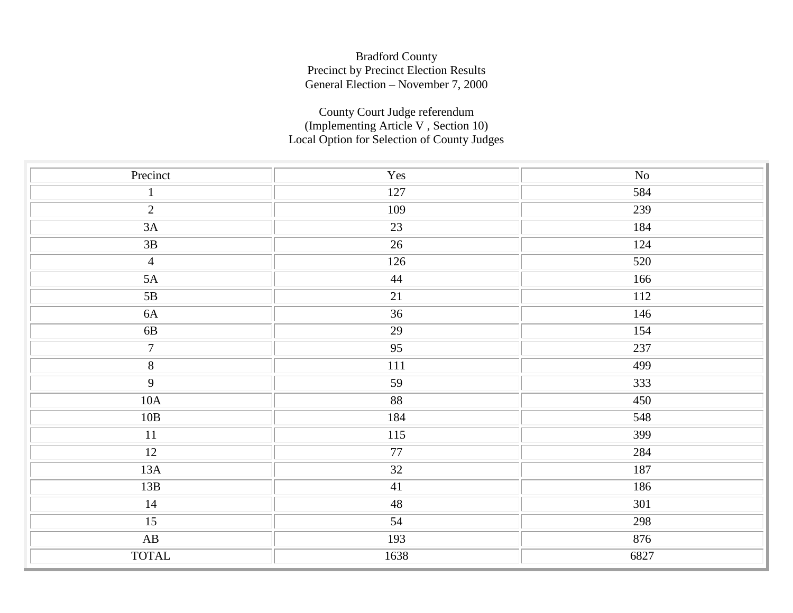### County Court Judge referendum (Implementing Article V , Section 10) Local Option for Selection of County Judges

| Precinct                 | Yes                 | $\rm No$ |
|--------------------------|---------------------|----------|
| $\mathbf{1}$             | 127                 | 584      |
| $\overline{2}$           | 109                 | 239      |
| 3A                       | 23                  | 184      |
| 3B                       | 26                  | 124      |
| $\overline{4}$           | $\overline{126}$    | 520      |
| 5A                       | 44                  | 166      |
| 5B                       | 21                  | 112      |
| $6A$                     | $\overline{36}$     | 146      |
| $6\mathrm{B}$            | 29                  | 154      |
| $\overline{7}$           | $\overline{95}$     | 237      |
| $\overline{\bf 8}$       | $111\,$             | 499      |
| $\overline{9}$           | 59                  | 333      |
| 10A                      | $\overline{\bf 88}$ | 450      |
| 10B                      | 184                 | 548      |
| $\overline{11}$          | 115                 | 399      |
| 12                       | 77                  | 284      |
| $13A$                    | $\overline{32}$     | 187      |
| 13B                      | 41                  | 186      |
| 14                       | 48                  | 301      |
| 15                       | 54                  | 298      |
| $\overline{\mathbf{AB}}$ | 193                 | 876      |
| <b>TOTAL</b>             | 1638                | 6827     |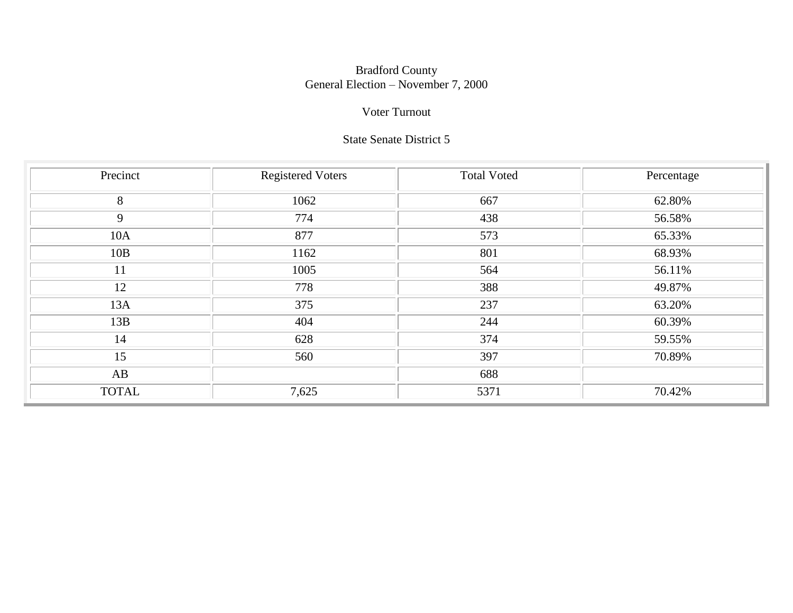#### Bradford County General Election – November 7, 2000

### Voter Turnout

### State Senate District 5

| Precinct     | <b>Registered Voters</b> | <b>Total Voted</b> | Percentage |
|--------------|--------------------------|--------------------|------------|
| 8            | 1062                     | 667                | 62.80%     |
| 9            | 774                      | 438                | 56.58%     |
| 10A          | 877                      | 573                | 65.33%     |
| 10B          | 1162                     | 801                | 68.93%     |
| 11           | 1005                     | 564                | 56.11%     |
| 12           | 778                      | 388                | 49.87%     |
| 13A          | 375                      | 237                | 63.20%     |
| 13B          | 404                      | 244                | 60.39%     |
| 14           | 628                      | 374                | 59.55%     |
| 15           | 560                      | 397                | 70.89%     |
| AB           |                          | 688                |            |
| <b>TOTAL</b> | 7,625                    | 5371               | 70.42%     |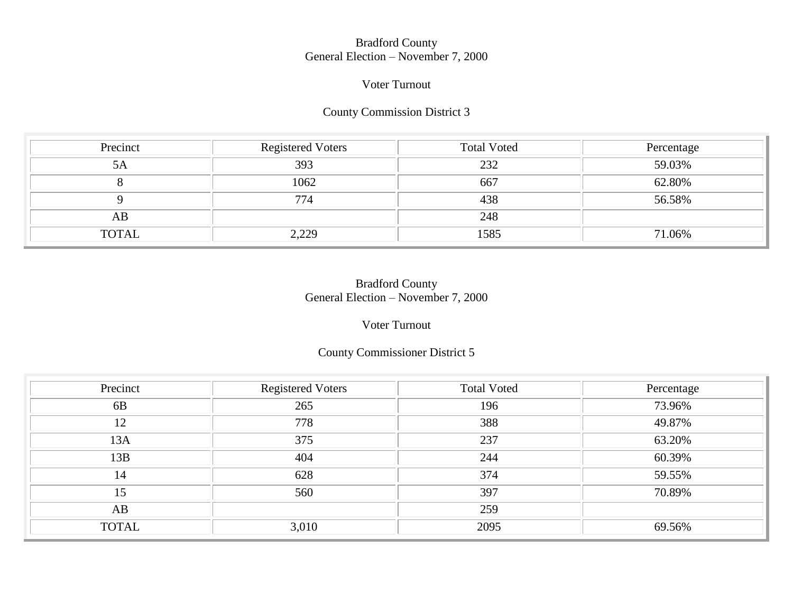#### Bradford County General Election – November 7, 2000

#### Voter Turnout

#### County Commission District 3

| Precinct     | <b>Registered Voters</b> | <b>Total Voted</b> | Percentage |
|--------------|--------------------------|--------------------|------------|
| 5A           | 393                      | 232                | 59.03%     |
|              | 1062                     | 667                | 62.80%     |
|              | 774                      | 438                | 56.58%     |
| AB           |                          | 248                |            |
| <b>TOTAL</b> | 2,229                    | 1585               | 71.06%     |

### Bradford County General Election – November 7, 2000

### Voter Turnout

#### County Commissioner District 5

| Precinct     | <b>Registered Voters</b> | <b>Total Voted</b> | Percentage |
|--------------|--------------------------|--------------------|------------|
| 6B           | 265                      | 196                | 73.96%     |
| 12           | 778                      | 388                | 49.87%     |
| 13A          | 375                      | 237                | 63.20%     |
| 13B          | 404                      | 244                | 60.39%     |
| 14           | 628                      | 374                | 59.55%     |
| 15           | 560                      | 397                | 70.89%     |
| AB           |                          | 259                |            |
| <b>TOTAL</b> | 3,010                    | 2095               | 69.56%     |